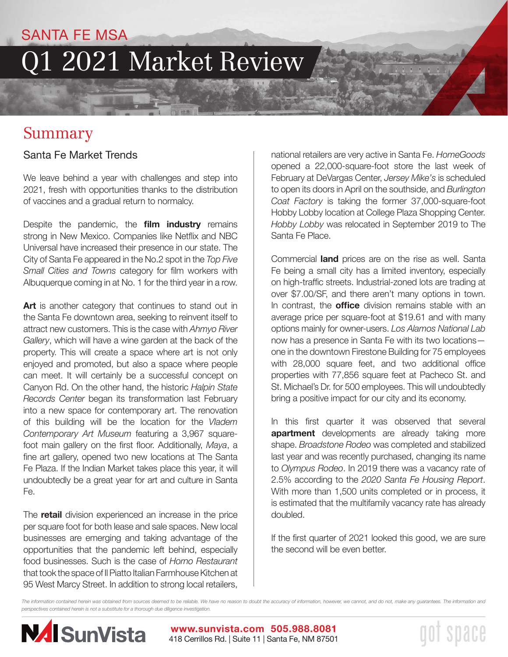### SANTA FE MSA

# Q1 2021 Market Review

## Summary

### Santa Fe Market Trends

We leave behind a year with challenges and step into 2021, fresh with opportunities thanks to the distribution of vaccines and a gradual return to normalcy.

Despite the pandemic, the **film industry** remains strong in New Mexico. Companies like Netflix and NBC Universal have increased their presence in our state. The City of Santa Fe appeared in the No.2 spot in the *Top Five Small Cities and Towns* category for film workers with Albuquerque coming in at No. 1 for the third year in a row.

Art is another category that continues to stand out in the Santa Fe downtown area, seeking to reinvent itself to attract new customers. This is the case with *Ahmyo River Gallery*, which will have a wine garden at the back of the property. This will create a space where art is not only enjoyed and promoted, but also a space where people can meet. It will certainly be a successful concept on Canyon Rd. On the other hand, the historic *Halpin State Records Center* began its transformation last February into a new space for contemporary art. The renovation of this building will be the location for the *Vladem Contemporary Art Museum* featuring a 3,967 squarefoot main gallery on the first floor. Additionally, *Maya*, a fine art gallery, opened two new locations at The Santa Fe Plaza. If the Indian Market takes place this year, it will undoubtedly be a great year for art and culture in Santa Fe.

The **retail** division experienced an increase in the price per square foot for both lease and sale spaces. New local businesses are emerging and taking advantage of the opportunities that the pandemic left behind, especially food businesses. Such is the case of *Horno Restaurant* that took the space of Il Piatto Italian Farmhouse Kitchen at 95 West Marcy Street. In addition to strong local retailers,

national retailers are very active in Santa Fe. *HomeGoods*  opened a 22,000-square-foot store the last week of February at DeVargas Center, *Jersey Mike's* is scheduled to open its doors in April on the southside, and *Burlington Coat Factory* is taking the former 37,000-square-foot Hobby Lobby location at College Plaza Shopping Center. *Hobby Lobby* was relocated in September 2019 to The Santa Fe Place.

Commercial **land** prices are on the rise as well. Santa Fe being a small city has a limited inventory, especially on high-traffic streets. Industrial-zoned lots are trading at over \$7.00/SF, and there aren't many options in town. In contrast, the **office** division remains stable with an average price per square-foot at \$19.61 and with many options mainly for owner-users. *Los Alamos National Lab*  now has a presence in Santa Fe with its two locations one in the downtown Firestone Building for 75 employees with 28,000 square feet, and two additional office properties with 77,856 square feet at Pacheco St. and St. Michael's Dr. for 500 employees. This will undoubtedly bring a positive impact for our city and its economy.

In this first quarter it was observed that several **apartment** developments are already taking more shape. *Broadstone Rodeo* was completed and stabilized last year and was recently purchased, changing its name to *Olympus Rodeo*. In 2019 there was a vacancy rate of 2.5% according to the *2020 Santa Fe Housing Report*. With more than 1,500 units completed or in process, it is estimated that the multifamily vacancy rate has already doubled.

If the first quarter of 2021 looked this good, we are sure the second will be even better.

space

*The information contained herein was obtained from sources deemed to be reliable. We have no reason to doubt the accuracy of information, however, we cannot, and do not, make any guarantees. The information and perspectives contained herein is not a substitute for a thorough due diligence investigation.* 

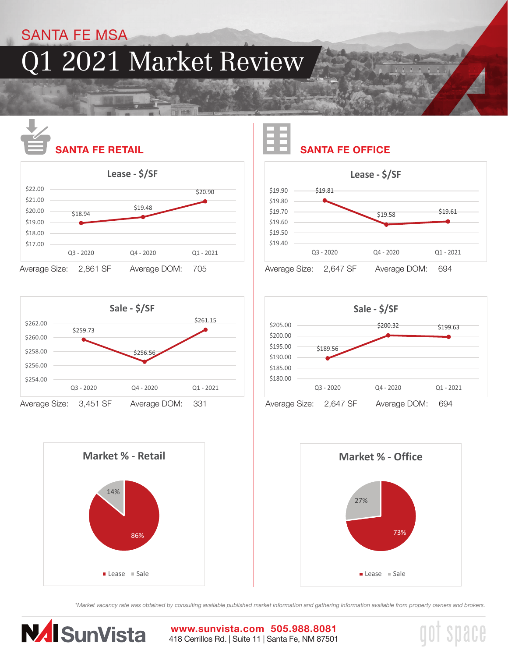### SANTA FE MSA

## Q1 2021 Market Review



Average Size: 2,861 SF Average DOM: 705











space

*\*Market vacancy rate was obtained by consulting available published market information and gathering information available from property owners and brokers.*



418 Cerrillos Rd. | Suite 11 | Santa Fe, NM 87501 **www.sunvista.com 505.988.8081**